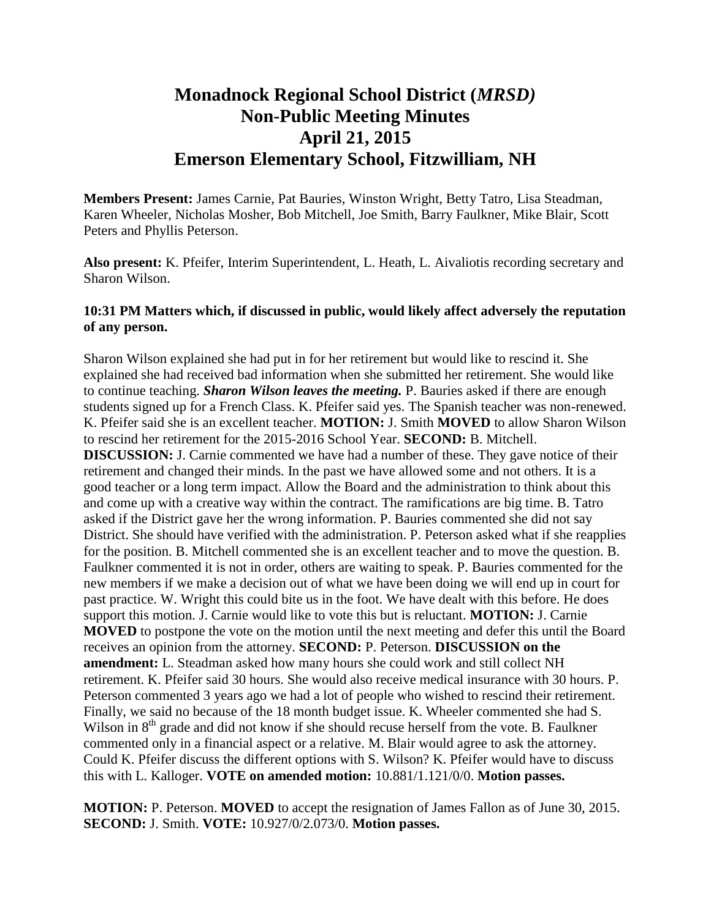## **Monadnock Regional School District (***MRSD)* **Non-Public Meeting Minutes April 21, 2015 Emerson Elementary School, Fitzwilliam, NH**

**Members Present:** James Carnie, Pat Bauries, Winston Wright, Betty Tatro, Lisa Steadman, Karen Wheeler, Nicholas Mosher, Bob Mitchell, Joe Smith, Barry Faulkner, Mike Blair, Scott Peters and Phyllis Peterson.

**Also present:** K. Pfeifer, Interim Superintendent, L. Heath, L. Aivaliotis recording secretary and Sharon Wilson.

## **10:31 PM Matters which, if discussed in public, would likely affect adversely the reputation of any person.**

Sharon Wilson explained she had put in for her retirement but would like to rescind it. She explained she had received bad information when she submitted her retirement. She would like to continue teaching. *Sharon Wilson leaves the meeting.* P. Bauries asked if there are enough students signed up for a French Class. K. Pfeifer said yes. The Spanish teacher was non-renewed. K. Pfeifer said she is an excellent teacher. **MOTION:** J. Smith **MOVED** to allow Sharon Wilson to rescind her retirement for the 2015-2016 School Year. **SECOND:** B. Mitchell. **DISCUSSION:** J. Carnie commented we have had a number of these. They gave notice of their retirement and changed their minds. In the past we have allowed some and not others. It is a good teacher or a long term impact. Allow the Board and the administration to think about this and come up with a creative way within the contract. The ramifications are big time. B. Tatro asked if the District gave her the wrong information. P. Bauries commented she did not say District. She should have verified with the administration. P. Peterson asked what if she reapplies for the position. B. Mitchell commented she is an excellent teacher and to move the question. B. Faulkner commented it is not in order, others are waiting to speak. P. Bauries commented for the new members if we make a decision out of what we have been doing we will end up in court for past practice. W. Wright this could bite us in the foot. We have dealt with this before. He does support this motion. J. Carnie would like to vote this but is reluctant. **MOTION:** J. Carnie **MOVED** to postpone the vote on the motion until the next meeting and defer this until the Board receives an opinion from the attorney. **SECOND:** P. Peterson. **DISCUSSION on the amendment:** L. Steadman asked how many hours she could work and still collect NH retirement. K. Pfeifer said 30 hours. She would also receive medical insurance with 30 hours. P. Peterson commented 3 years ago we had a lot of people who wished to rescind their retirement. Finally, we said no because of the 18 month budget issue. K. Wheeler commented she had S. Wilson in  $8<sup>th</sup>$  grade and did not know if she should recuse herself from the vote. B. Faulkner commented only in a financial aspect or a relative. M. Blair would agree to ask the attorney. Could K. Pfeifer discuss the different options with S. Wilson? K. Pfeifer would have to discuss this with L. Kalloger. **VOTE on amended motion:** 10.881/1.121/0/0. **Motion passes.** 

**MOTION:** P. Peterson. **MOVED** to accept the resignation of James Fallon as of June 30, 2015. **SECOND:** J. Smith. **VOTE:** 10.927/0/2.073/0. **Motion passes.**